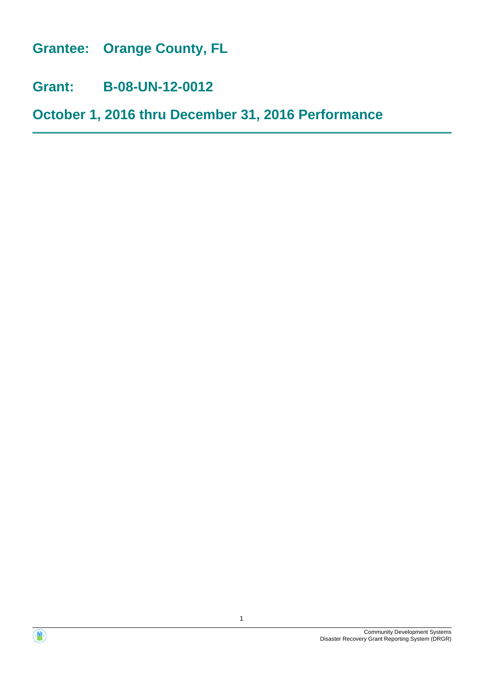**Grantee: Orange County, FL**

**Grant: B-08-UN-12-0012**

**October 1, 2016 thru December 31, 2016 Performance**

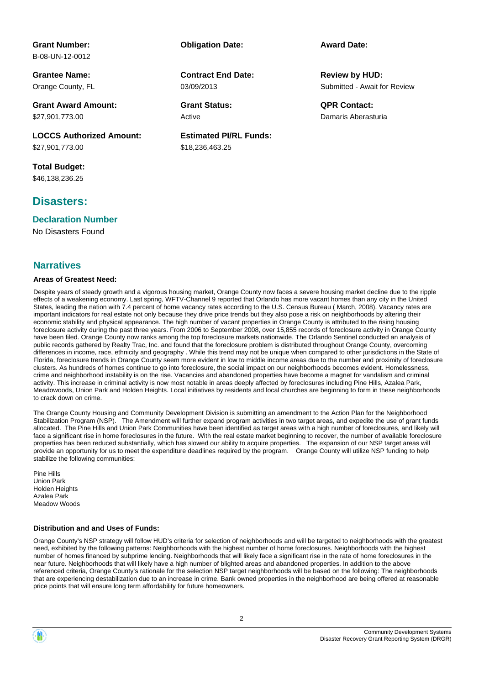# **Grant Number:**

B-08-UN-12-0012

**Grantee Name:** Orange County, FL

**Grant Award Amount:** \$27,901,773.00

**LOCCS Authorized Amount:** \$27,901,773.00

**Total Budget:** \$46,138,236.25

# **Disasters:**

#### **Declaration Number**

No Disasters Found

## **Narratives**

#### **Areas of Greatest Need:**

Despite years of steady growth and a vigorous housing market, Orange County now faces a severe housing market decline due to the ripple effects of a weakening economy. Last spring, WFTV-Channel 9 reported that Orlando has more vacant homes than any city in the United States, leading the nation with 7.4 percent of home vacancy rates according to the U.S. Census Bureau ( March, 2008). Vacancy rates are important indicators for real estate not only because they drive price trends but they also pose a risk on neighborhoods by altering their economic stability and physical appearance. The high number of vacant properties in Orange County is attributed to the rising housing foreclosure activity during the past three years. From 2006 to September 2008, over 15,855 records of foreclosure activity in Orange County have been filed. Orange County now ranks among the top foreclosure markets nationwide. The Orlando Sentinel conducted an analysis of public records gathered by Realty Trac, Inc. and found that the foreclosure problem is distributed throughout Orange County, overcoming differences in income, race, ethnicity and geography . While this trend may not be unique when compared to other jurisdictions in the State of Florida, foreclosure trends in Orange County seem more evident in low to middle income areas due to the number and proximity of foreclosure clusters. As hundreds of homes continue to go into foreclosure, the social impact on our neighborhoods becomes evident. Homelessness, crime and neighborhood instability is on the rise. Vacancies and abandoned properties have become a magnet for vandalism and criminal activity. This increase in criminal activity is now most notable in areas deeply affected by foreclosures including Pine Hills, Azalea Park, Meadowoods, Union Park and Holden Heights. Local initiatives by residents and local churches are beginning to form in these neighborhoods to crack down on crime.

**Estimated PI/RL Funds:**

\$18,236,463.25

03/09/2013

Active

**Contract End Date:**

The Orange County Housing and Community Development Division is submitting an amendment to the Action Plan for the Neighborhood Stabilization Program (NSP). The Amendment will further expand program activities in two target areas, and expedite the use of grant funds allocated. The Pine Hills and Union Park Communities have been identified as target areas with a high number of foreclosures, and likely will face a significant rise in home foreclosures in the future. With the real estate market beginning to recover, the number of available foreclosure properties has been reduced substantially, which has slowed our ability to acquire properties. The expansion of our NSP target areas will provide an opportunity for us to meet the expenditure deadlines required by the program. Orange County will utilize NSP funding to help stabilize the following communities:

Pine Hills Union Park Holden Heights Azalea Park Meadow Woods

#### **Distribution and and Uses of Funds:**

Orange County's NSP strategy will follow HUD's criteria for selection of neighborhoods and will be targeted to neighborhoods with the greatest need, exhibited by the following patterns: Neighborhoods with the highest number of home foreclosures. Neighborhoods with the highest number of homes financed by subprime lending. Neighborhoods that will likely face a significant rise in the rate of home foreclosures in the near future. Neighborhoods that will likely have a high number of blighted areas and abandoned properties. In addition to the above referenced criteria, Orange County's rationale for the selection NSP target neighborhoods will be based on the following: The neighborhoods that are experiencing destabilization due to an increase in crime. Bank owned properties in the neighborhood are being offered at reasonable price points that will ensure long term affordability for future homeowners.

2

Submitted - Await for Review **Review by HUD:**

**Grant Status: QPR Contact:** Damaris Aberasturia

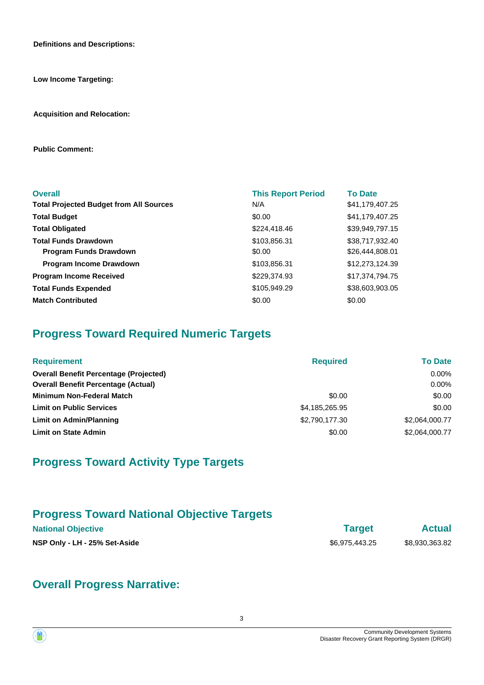**Definitions and Descriptions:**

**Low Income Targeting:**

**Acquisition and Relocation:**

**Public Comment:**

| <b>Overall</b>                                 | <b>This Report Period</b> | <b>To Date</b>  |
|------------------------------------------------|---------------------------|-----------------|
| <b>Total Projected Budget from All Sources</b> | N/A                       | \$41,179,407.25 |
| <b>Total Budget</b>                            | \$0.00                    | \$41,179,407.25 |
| <b>Total Obligated</b>                         | \$224,418.46              | \$39,949,797.15 |
| <b>Total Funds Drawdown</b>                    | \$103,856.31              | \$38,717,932.40 |
| <b>Program Funds Drawdown</b>                  | \$0.00                    | \$26,444,808.01 |
| <b>Program Income Drawdown</b>                 | \$103,856.31              | \$12,273,124.39 |
| <b>Program Income Received</b>                 | \$229,374.93              | \$17,374,794.75 |
| <b>Total Funds Expended</b>                    | \$105,949.29              | \$38,603,903.05 |
| <b>Match Contributed</b>                       | \$0.00                    | \$0.00          |

# **Progress Toward Required Numeric Targets**

| <b>Requirement</b>                            | <b>Required</b> | <b>To Date</b> |
|-----------------------------------------------|-----------------|----------------|
| <b>Overall Benefit Percentage (Projected)</b> |                 | $0.00\%$       |
| <b>Overall Benefit Percentage (Actual)</b>    |                 | $0.00\%$       |
| <b>Minimum Non-Federal Match</b>              | \$0.00          | \$0.00         |
| <b>Limit on Public Services</b>               | \$4,185,265.95  | \$0.00         |
| Limit on Admin/Planning                       | \$2,790,177.30  | \$2,064,000.77 |
| <b>Limit on State Admin</b>                   | \$0.00          | \$2,064,000.77 |

# **Progress Toward Activity Type Targets**

# **Progress Toward National Objective Targets**

| <b>National Objective</b>     | <b>Target</b>  | <b>Actual</b>  |
|-------------------------------|----------------|----------------|
| NSP Only - LH - 25% Set-Aside | \$6.975.443.25 | \$8.930.363.82 |

# **Overall Progress Narrative:**

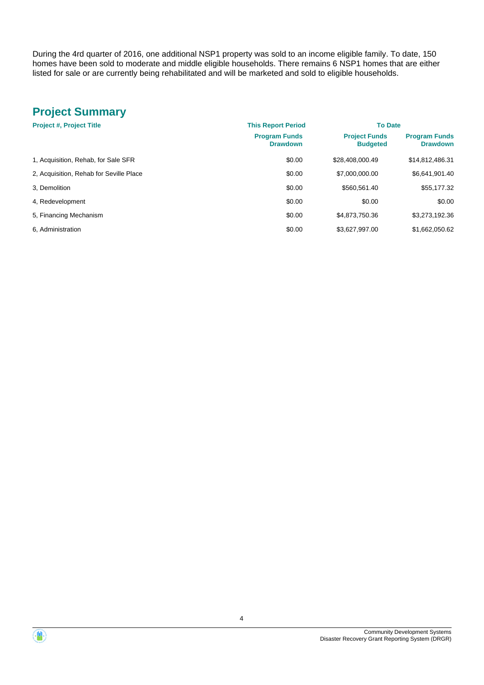During the 4rd quarter of 2016, one additional NSP1 property was sold to an income eligible family. To date, 150 homes have been sold to moderate and middle eligible households. There remains 6 NSP1 homes that are either listed for sale or are currently being rehabilitated and will be marketed and sold to eligible households.

# **Project Summary**

| <b>Project #, Project Title</b>         | <b>This Report Period</b>               | <b>To Date</b>                          |                                         |
|-----------------------------------------|-----------------------------------------|-----------------------------------------|-----------------------------------------|
|                                         | <b>Program Funds</b><br><b>Drawdown</b> | <b>Project Funds</b><br><b>Budgeted</b> | <b>Program Funds</b><br><b>Drawdown</b> |
| 1, Acquisition, Rehab, for Sale SFR     | \$0.00                                  | \$28.408.000.49                         | \$14,812,486.31                         |
| 2, Acquisition, Rehab for Seville Place | \$0.00                                  | \$7,000,000.00                          | \$6,641,901.40                          |
| 3. Demolition                           | \$0.00                                  | \$560.561.40                            | \$55,177.32                             |
| 4, Redevelopment                        | \$0.00                                  | \$0.00                                  | \$0.00                                  |
| 5, Financing Mechanism                  | \$0.00                                  | \$4,873,750.36                          | \$3,273,192.36                          |
| 6. Administration                       | \$0.00                                  | \$3.627.997.00                          | \$1.662.050.62                          |

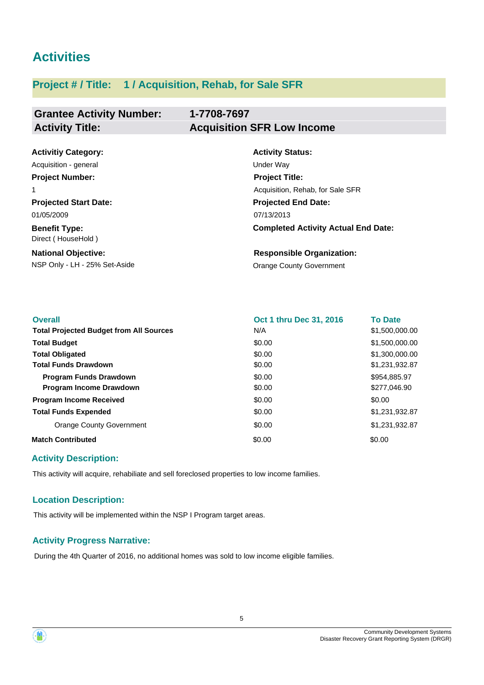# **Activities**

# **Project # / Title: 1 / Acquisition, Rehab, for Sale SFR**

# **Grantee Activity Number: Activity Title: Acquisition SFR Low Income**

# **1-7708-7697**

| <b>Activitiy Category:</b>                 | <b>Activity Status:</b>                    |  |
|--------------------------------------------|--------------------------------------------|--|
| Acquisition - general                      | Under Way                                  |  |
| <b>Project Number:</b>                     | <b>Project Title:</b>                      |  |
| 1                                          | Acquisition, Rehab, for Sale SFR           |  |
| <b>Projected Start Date:</b>               | <b>Projected End Date:</b>                 |  |
| 01/05/2009                                 | 07/13/2013                                 |  |
| <b>Benefit Type:</b><br>Direct (HouseHold) | <b>Completed Activity Actual End Date:</b> |  |
| <b>National Objective:</b>                 | <b>Responsible Organization:</b>           |  |
| NSP Only - LH - 25% Set-Aside              | <b>Orange County Government</b>            |  |

| <b>Overall</b>                                 | Oct 1 thru Dec 31, 2016 | <b>To Date</b> |
|------------------------------------------------|-------------------------|----------------|
| <b>Total Projected Budget from All Sources</b> | N/A                     | \$1,500,000.00 |
| <b>Total Budget</b>                            | \$0.00                  | \$1,500,000.00 |
| <b>Total Obligated</b>                         | \$0.00                  | \$1,300,000.00 |
| <b>Total Funds Drawdown</b>                    | \$0.00                  | \$1,231,932.87 |
| <b>Program Funds Drawdown</b>                  | \$0.00                  | \$954,885.97   |
| <b>Program Income Drawdown</b>                 | \$0.00                  | \$277,046.90   |
| <b>Program Income Received</b>                 | \$0.00                  | \$0.00         |
| <b>Total Funds Expended</b>                    | \$0.00                  | \$1,231,932.87 |
| <b>Orange County Government</b>                | \$0.00                  | \$1,231,932.87 |
| <b>Match Contributed</b>                       | \$0.00                  | \$0.00         |

## **Activity Description:**

This activity will acquire, rehabiliate and sell foreclosed properties to low income families.

## **Location Description:**

This activity will be implemented within the NSP I Program target areas.

## **Activity Progress Narrative:**

During the 4th Quarter of 2016, no additional homes was sold to low income eligible families.

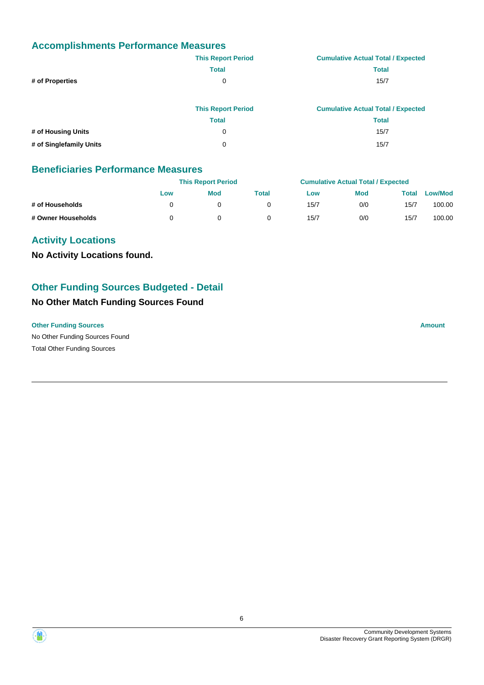# **Accomplishments Performance Measures**

|                         | <b>This Report Period</b> | <b>Cumulative Actual Total / Expected</b> |
|-------------------------|---------------------------|-------------------------------------------|
|                         | <b>Total</b>              | <b>Total</b>                              |
| # of Properties         | 0                         | 15/7                                      |
|                         | <b>This Report Period</b> | <b>Cumulative Actual Total / Expected</b> |
|                         | <b>Total</b>              | <b>Total</b>                              |
| # of Housing Units      | 0                         | 15/7                                      |
| # of Singlefamily Units | 0                         | 15/7                                      |

## **Beneficiaries Performance Measures**

|                    |     | <b>This Report Period</b> |       |      | <b>Cumulative Actual Total / Expected</b> |       |                |  |
|--------------------|-----|---------------------------|-------|------|-------------------------------------------|-------|----------------|--|
|                    | Low | <b>Mod</b>                | Total | Low  | <b>Mod</b>                                | Total | <b>Low/Mod</b> |  |
| # of Households    |     |                           |       | 15/7 | 0/0                                       | 15/7  | 100.00         |  |
| # Owner Households |     |                           |       | 15/7 | 0/0                                       | 15/7  | 100.00         |  |

# **Activity Locations**

**No Activity Locations found.**

# **Other Funding Sources Budgeted - Detail**

# **No Other Match Funding Sources Found**

**Other Funding Sources Amount**

No Other Funding Sources Found Total Other Funding Sources



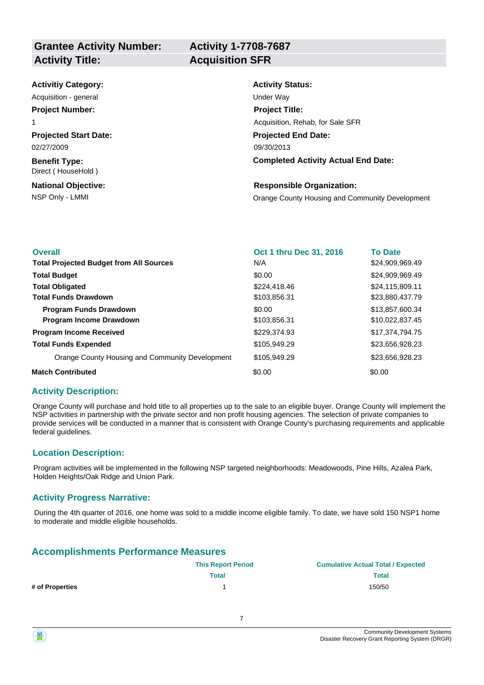# **Activity 1-7708-7687**

| <b>Activitiy Category:</b>                 | <b>Activity Status:</b>                         |
|--------------------------------------------|-------------------------------------------------|
| Acquisition - general                      | Under Way                                       |
| <b>Project Number:</b>                     | <b>Project Title:</b>                           |
| 1                                          | Acquisition, Rehab, for Sale SFR                |
| <b>Projected Start Date:</b>               | <b>Projected End Date:</b>                      |
| 02/27/2009                                 | 09/30/2013                                      |
| <b>Benefit Type:</b><br>Direct (HouseHold) | <b>Completed Activity Actual End Date:</b>      |
| <b>National Objective:</b>                 | <b>Responsible Organization:</b>                |
| NSP Only - LMMI                            | Orange County Housing and Community Development |

| <b>Overall</b>                                  | Oct 1 thru Dec 31, 2016 | <b>To Date</b>  |
|-------------------------------------------------|-------------------------|-----------------|
| <b>Total Projected Budget from All Sources</b>  | N/A                     | \$24,909,969.49 |
| <b>Total Budget</b>                             | \$0.00                  | \$24,909,969.49 |
| <b>Total Obligated</b>                          | \$224,418,46            | \$24,115,809.11 |
| <b>Total Funds Drawdown</b>                     | \$103,856.31            | \$23,880,437.79 |
| <b>Program Funds Drawdown</b>                   | \$0.00                  | \$13,857,600.34 |
| <b>Program Income Drawdown</b>                  | \$103,856.31            | \$10,022,837.45 |
| <b>Program Income Received</b>                  | \$229,374,93            | \$17.374.794.75 |
| <b>Total Funds Expended</b>                     | \$105,949.29            | \$23,656,928.23 |
| Orange County Housing and Community Development | \$105,949.29            | \$23,656,928.23 |
| <b>Match Contributed</b>                        | \$0.00                  | \$0.00          |

#### **Activity Description:**

Orange County will purchase and hold title to all properties up to the sale to an eligible buyer. Orange County will implement the NSP activities in partnership with the private sector and non profit housing agencies. The selection of private companies to provide services will be conducted in a manner that is consistent with Orange County's purchasing requirements and applicable federal guidelines.

#### **Location Description:**

Program activities will be implemented in the following NSP targeted neighborhoods: Meadowoods, Pine Hills, Azalea Park, Holden Heights/Oak Ridge and Union Park.

#### **Activity Progress Narrative:**

During the 4th quarter of 2016, one home was sold to a middle income eligible family. To date, we have sold 150 NSP1 home to moderate and middle eligible households.

# **Accomplishments Performance Measures**

|                 | <b>This Report Period</b> | <b>Cumulative Actual Total / Expected</b> |
|-----------------|---------------------------|-------------------------------------------|
|                 | Total                     | <b>Total</b>                              |
| # of Properties |                           | 150/50                                    |

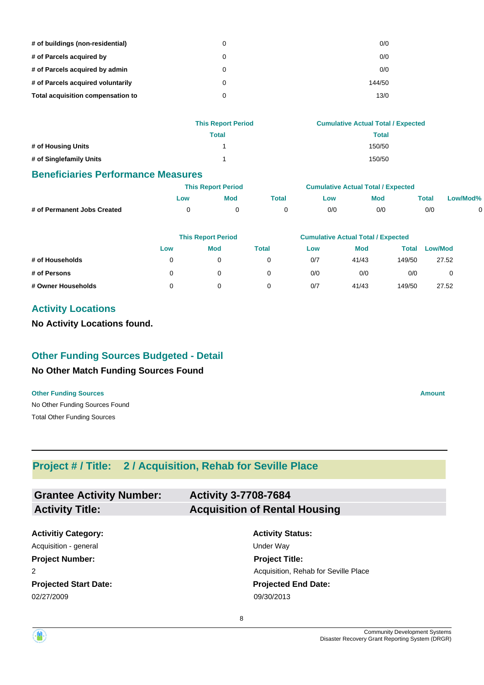| # of buildings (non-residential)  | 0 | 0/0    |
|-----------------------------------|---|--------|
| # of Parcels acquired by          | 0 | 0/0    |
| # of Parcels acquired by admin    | 0 | 0/0    |
| # of Parcels acquired voluntarily | 0 | 144/50 |
| Total acquisition compensation to | 0 | 13/0   |

|                         | <b>This Report Period</b> | <b>Cumulative Actual Total / Expected</b> |
|-------------------------|---------------------------|-------------------------------------------|
|                         | <b>Total</b>              | Total                                     |
| # of Housing Units      |                           | 150/50                                    |
| # of Singlefamily Units |                           | 150/50                                    |

#### **Beneficiaries Performance Measures**

|                             | <b>This Report Period</b> |     |       | <b>Cumulative Actual Total / Expected</b> |     |             |          |
|-----------------------------|---------------------------|-----|-------|-------------------------------------------|-----|-------------|----------|
|                             | <b>LOW</b>                | Mod | Total | ∟ow                                       | Mod | $\tau$ otal | Low/Mod% |
| # of Permanent Jobs Created |                           |     |       | 0/0                                       | 0/0 | 0/0         |          |

|                    |          | <b>This Report Period</b> |       | <b>Cumulative Actual Total / Expected</b> |            |        |                |  |
|--------------------|----------|---------------------------|-------|-------------------------------------------|------------|--------|----------------|--|
|                    | Low      | Mod                       | Total | Low                                       | <b>Mod</b> | Total  | <b>Low/Mod</b> |  |
| # of Households    | 0        | 0                         |       | 0/7                                       | 41/43      | 149/50 | 27.52          |  |
| # of Persons       | $\Omega$ |                           |       | 0/0                                       | 0/0        | 0/0    |                |  |
| # Owner Households | 0        |                           |       | 0/7                                       | 41/43      | 149/50 | 27.52          |  |

# **Activity Locations**

**No Activity Locations found.**

# **Other Funding Sources Budgeted - Detail**

## **No Other Match Funding Sources Found**

No Other Funding Sources Found **Other Funding Sources Amount Amount Amount Amount Amount Amount Amount** Total Other Funding Sources

# **Project # / Title: 2 / Acquisition, Rehab for Seville Place**

| <b>Grantee Activity Number:</b> | <b>Activity 3-7708-7684</b>          |
|---------------------------------|--------------------------------------|
| <b>Activity Title:</b>          | <b>Acquisition of Rental Housing</b> |
|                                 |                                      |

**Projected Start Date: Activitiy Category:** 02/27/2009 09/30/2013 Acquisition - general and the Under Way **Project Number:** 2

# **Activity Status: Projected End Date: Project Title:** Acquisition, Rehab for Seville Place

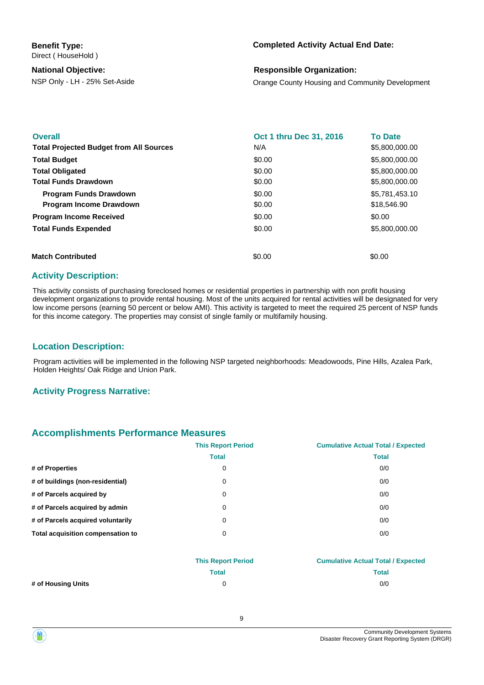**Benefit Type:** Direct ( HouseHold )

#### **National Objective:**

#### **Completed Activity Actual End Date:**

#### **Responsible Organization:**

NSP Only - LH - 25% Set-Aside **Orange County Housing and Community Development** 

| <b>Overall</b><br><b>Total Projected Budget from All Sources</b> | Oct 1 thru Dec 31, 2016<br>N/A | <b>To Date</b><br>\$5,800,000.00 |
|------------------------------------------------------------------|--------------------------------|----------------------------------|
| <b>Total Budget</b>                                              | \$0.00                         | \$5,800,000,00                   |
| <b>Total Obligated</b>                                           | \$0.00                         | \$5,800,000.00                   |
| <b>Total Funds Drawdown</b>                                      | \$0.00                         | \$5,800,000.00                   |
| <b>Program Funds Drawdown</b>                                    | \$0.00                         | \$5,781,453.10                   |
| Program Income Drawdown                                          | \$0.00                         | \$18,546.90                      |
| <b>Program Income Received</b>                                   | \$0.00                         | \$0.00                           |
| <b>Total Funds Expended</b>                                      | \$0.00                         | \$5,800,000.00                   |
|                                                                  |                                |                                  |
| <b>Match Contributed</b>                                         | \$0.00                         | \$0.00                           |

#### **Activity Description:**

This activity consists of purchasing foreclosed homes or residential properties in partnership with non profit housing development organizations to provide rental housing. Most of the units acquired for rental activities will be designated for very low income persons (earning 50 percent or below AMI). This activity is targeted to meet the required 25 percent of NSP funds for this income category. The properties may consist of single family or multifamily housing.

#### **Location Description:**

Program activities will be implemented in the following NSP targeted neighborhoods: Meadowoods, Pine Hills, Azalea Park, Holden Heights/ Oak Ridge and Union Park.

#### **Activity Progress Narrative:**

#### **Accomplishments Performance Measures**

|                                   | <b>This Report Period</b> | <b>Cumulative Actual Total / Expected</b> |
|-----------------------------------|---------------------------|-------------------------------------------|
|                                   | <b>Total</b>              | <b>Total</b>                              |
| # of Properties                   | 0                         | 0/0                                       |
| # of buildings (non-residential)  | 0                         | 0/0                                       |
| # of Parcels acquired by          | 0                         | 0/0                                       |
| # of Parcels acquired by admin    | 0                         | 0/0                                       |
| # of Parcels acquired voluntarily | 0                         | 0/0                                       |
| Total acquisition compensation to | 0                         | 0/0                                       |
|                                   |                           |                                           |

|                    | <b>This Report Period</b> | <b>Cumulative Actual Total / Expected</b> |
|--------------------|---------------------------|-------------------------------------------|
|                    | Total                     | Total                                     |
| # of Housing Units |                           | 0/0                                       |

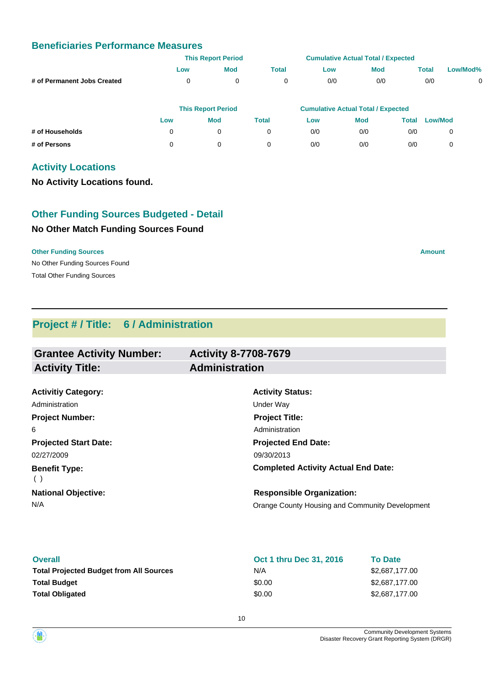# **Beneficiaries Performance Measures**

|                             |     | <b>This Report Period</b> |              | <b>Cumulative Actual Total / Expected</b> |            |       |          |
|-----------------------------|-----|---------------------------|--------------|-------------------------------------------|------------|-------|----------|
|                             | Low | <b>Mod</b>                | <b>Total</b> | Low                                       | <b>Mod</b> | Total | Low/Mod% |
| # of Permanent Jobs Created |     | 0                         |              | 0/0                                       | 0/0        | 0/0   |          |
|                             |     |                           |              |                                           |            |       |          |

|                 |     | <b>This Report Period</b> |       | <b>Cumulative Actual Total / Expected</b> |            |       |                |  |
|-----------------|-----|---------------------------|-------|-------------------------------------------|------------|-------|----------------|--|
|                 | Low | Mod                       | Total | Low                                       | <b>Mod</b> | Total | <b>Low/Mod</b> |  |
| # of Households |     |                           |       | 0/0                                       | 0/0        | 0/0   |                |  |
| # of Persons    |     |                           |       | 0/0                                       | 0/0        | 0/0   |                |  |

# **Activity Locations**

**No Activity Locations found.**

# **No Other Match Funding Sources Found Other Funding Sources Budgeted - Detail**

#### **Other Funding Sources Amount**

No Other Funding Sources Found Total Other Funding Sources

# **Project # / Title: 6 / Administration**

| <b>Grantee Activity Number:</b> | <b>Activity 8-7708-7679</b>                     |
|---------------------------------|-------------------------------------------------|
| <b>Activity Title:</b>          | <b>Administration</b>                           |
|                                 |                                                 |
| <b>Activitiy Category:</b>      | <b>Activity Status:</b>                         |
| Administration                  | Under Way                                       |
| <b>Project Number:</b>          | <b>Project Title:</b>                           |
| 6                               | Administration                                  |
| <b>Projected Start Date:</b>    | <b>Projected End Date:</b>                      |
| 02/27/2009                      | 09/30/2013                                      |
| <b>Benefit Type:</b><br>$($ )   | <b>Completed Activity Actual End Date:</b>      |
| <b>National Objective:</b>      | <b>Responsible Organization:</b>                |
| N/A                             | Orange County Housing and Community Development |
|                                 |                                                 |

| <b>Overall</b>                                 | <b>Oct 1 thru Dec 31, 2016</b> | <b>To Date</b> |
|------------------------------------------------|--------------------------------|----------------|
| <b>Total Projected Budget from All Sources</b> | N/A                            | \$2,687,177.00 |
| <b>Total Budget</b>                            | \$0.00                         | \$2,687,177,00 |
| <b>Total Obligated</b>                         | \$0.00                         | \$2,687,177.00 |